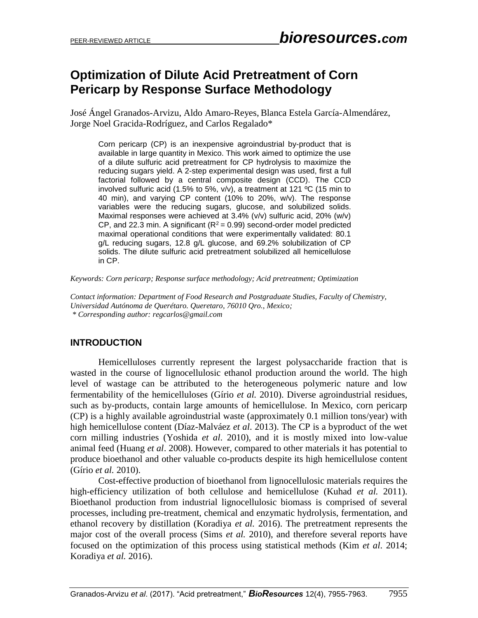# **Optimization of Dilute Acid Pretreatment of Corn Pericarp by Response Surface Methodology**

José Ángel Granados-Arvizu, Aldo Amaro-Reyes, Blanca Estela García-Almendárez, Jorge Noel Gracida-Rodríguez, and Carlos Regalado\*

Corn pericarp (CP) is an inexpensive agroindustrial by-product that is available in large quantity in Mexico. This work aimed to optimize the use of a dilute sulfuric acid pretreatment for CP hydrolysis to maximize the reducing sugars yield. A 2-step experimental design was used, first a full factorial followed by a central composite design (CCD). The CCD involved sulfuric acid (1.5% to 5%, v/v), a treatment at 121 ºC (15 min to 40 min), and varying CP content (10% to 20%, w/v). The response variables were the reducing sugars, glucose, and solubilized solids. Maximal responses were achieved at 3.4% (v/v) sulfuric acid, 20% (w/v) CP, and 22.3 min. A significant ( $R^2$  = 0.99) second-order model predicted maximal operational conditions that were experimentally validated: 80.1 g/L reducing sugars, 12.8 g/L glucose, and 69.2% solubilization of CP solids. The dilute sulfuric acid pretreatment solubilized all hemicellulose in CP.

*Keywords: Corn pericarp; Response surface methodology; Acid pretreatment; Optimization*

*Contact information: Department of Food Research and Postgraduate Studies, Faculty of Chemistry, Universidad Autónoma de Querétaro. Queretaro, 76010 Qro., Mexico; \* Corresponding author[: regcarlos@gmail.com](mailto:regcarlos@gmail.com)*

## **INTRODUCTION**

Hemicelluloses currently represent the largest polysaccharide fraction that is wasted in the course of lignocellulosic ethanol production around the world. The high level of wastage can be attributed to the heterogeneous polymeric nature and low fermentability of the hemicelluloses (Gírio *et al.* 2010). Diverse agroindustrial residues, such as by-products, contain large amounts of hemicellulose. In Mexico, corn pericarp (CP) is a highly available agroindustrial waste (approximately 0.1 million tons/year) with high hemicellulose content (Díaz-Malváez *et al*. 2013). The CP is a byproduct of the wet corn milling industries (Yoshida *et al*. 2010), and it is mostly mixed into low-value animal feed (Huang *et al*. 2008). However, compared to other materials it has potential to produce bioethanol and other valuable co-products despite its high hemicellulose content (Gírio *et al.* 2010).

Cost-effective production of bioethanol from lignocellulosic materials requires the high-efficiency utilization of both cellulose and hemicellulose (Kuhad *et al.* 2011). Bioethanol production from industrial lignocellulosic biomass is comprised of several processes, including pre-treatment, chemical and enzymatic hydrolysis, fermentation, and ethanol recovery by distillation (Koradiya *et al.* 2016). The pretreatment represents the major cost of the overall process (Sims *et al.* 2010), and therefore several reports have focused on the optimization of this process using statistical methods (Kim *et al*. 2014; Koradiya *et al.* 2016).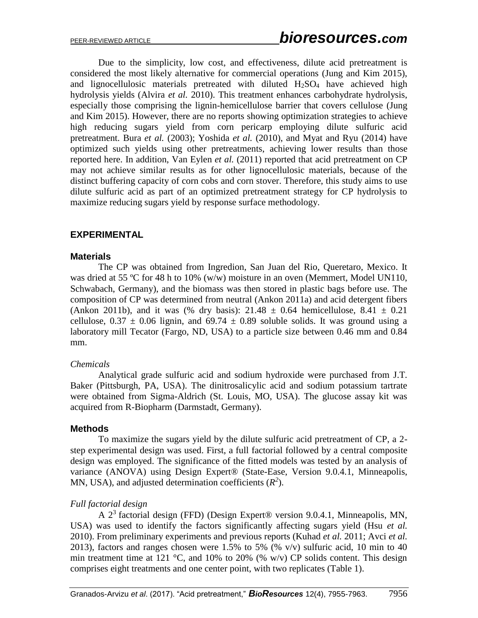Due to the simplicity, low cost, and effectiveness, dilute acid pretreatment is considered the most likely alternative for commercial operations (Jung and Kim 2015), and lignocellulosic materials pretreated with diluted  $H_2SO_4$  have achieved high hydrolysis yields (Alvira *et al.* 2010). This treatment enhances carbohydrate hydrolysis, especially those comprising the lignin-hemicellulose barrier that covers cellulose (Jung and Kim 2015). However, there are no reports showing optimization strategies to achieve high reducing sugars yield from corn pericarp employing dilute sulfuric acid pretreatment. Bura *et al.* (2003); Yoshida *et al.* (2010), and Myat and Ryu (2014) have optimized such yields using other pretreatments, achieving lower results than those reported here. In addition, Van Eylen *et al.* (2011) reported that acid pretreatment on CP may not achieve similar results as for other lignocellulosic materials, because of the distinct buffering capacity of corn cobs and corn stover. Therefore, this study aims to use dilute sulfuric acid as part of an optimized pretreatment strategy for CP hydrolysis to maximize reducing sugars yield by response surface methodology.

### **EXPERIMENTAL**

#### **Materials**

The CP was obtained from Ingredion, San Juan del Rio, Queretaro, Mexico. It was dried at 55 °C for 48 h to 10% (w/w) moisture in an oven (Memmert, Model UN110, Schwabach, Germany), and the biomass was then stored in plastic bags before use. The composition of CP was determined from neutral (Ankon 2011a) and acid detergent fibers (Ankon 2011b), and it was (% dry basis):  $21.48 \pm 0.64$  hemicellulose,  $8.41 \pm 0.21$ cellulose,  $0.37 \pm 0.06$  lignin, and  $69.74 \pm 0.89$  soluble solids. It was ground using a laboratory mill Tecator (Fargo, ND, USA) to a particle size between 0.46 mm and 0.84 mm.

#### *Chemicals*

Analytical grade sulfuric acid and sodium hydroxide were purchased from J.T. Baker (Pittsburgh, PA, USA). The dinitrosalicylic acid and sodium potassium tartrate were obtained from Sigma-Aldrich (St. Louis, MO, USA). The glucose assay kit was acquired from R-Biopharm (Darmstadt, Germany).

#### **Methods**

To maximize the sugars yield by the dilute sulfuric acid pretreatment of CP, a 2 step experimental design was used. First, a full factorial followed by a central composite design was employed. The significance of the fitted models was tested by an analysis of variance (ANOVA) using Design Expert® (State-Ease, Version 9.0.4.1, Minneapolis, MN, USA), and adjusted determination coefficients  $(R^2)$ .

#### *Full factorial design*

A  $2<sup>3</sup>$  factorial design (FFD) (Design Expert® version 9.0.4.1, Minneapolis, MN, USA) was used to identify the factors significantly affecting sugars yield (Hsu *et al.* 2010). From preliminary experiments and previous reports (Kuhad *et al.* 2011; Avci *et al.* 2013), factors and ranges chosen were 1.5% to 5% (%  $v/v$ ) sulfuric acid, 10 min to 40 min treatment time at 121 °C, and 10% to 20% (% w/v) CP solids content. This design comprises eight treatments and one center point, with two replicates (Table 1).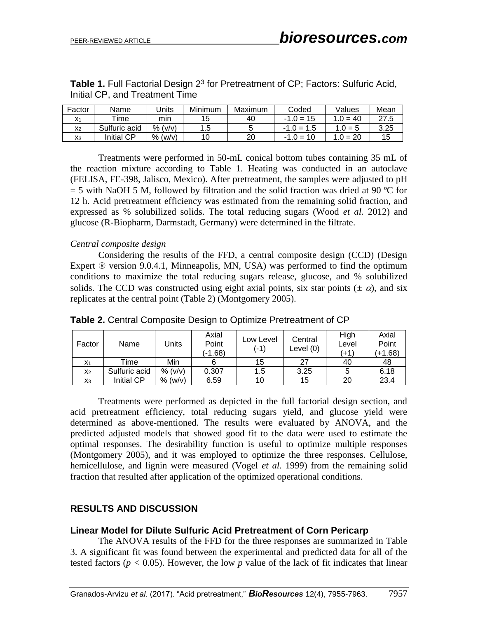| Factor         | Name              | Jnits      | Minimum | Maximum | Coded        | Values     | Mean |
|----------------|-------------------|------------|---------|---------|--------------|------------|------|
|                | $\mathsf{r}$ ime  | mın        | 15      | 40      | $-1.0 = 15$  | 1 $0 = 40$ | 27.5 |
| X <sub>2</sub> | Sulfuric acid     | (v/v)<br>% | 1.5     |         | $-1.0 = 1.5$ | $.0 = 5$   | 3.25 |
| Xз             | <b>Initial CP</b> | % (w/v)    |         | 20      | $-1.0 = 10$  | $1.0 = 20$ | 15   |

| <b>Table 1.</b> Full Factorial Design 2 <sup>3</sup> for Pretreatment of CP; Factors: Sulfuric Acid, |  |
|------------------------------------------------------------------------------------------------------|--|
| Initial CP, and Treatment Time                                                                       |  |

Treatments were performed in 50-mL conical bottom tubes containing 35 mL of the reaction mixture according to Table 1. Heating was conducted in an autoclave (FELISA, FE-398, Jalisco, Mexico). After pretreatment, the samples were adjusted to pH  $=$  5 with NaOH 5 M, followed by filtration and the solid fraction was dried at 90 °C for 12 h. Acid pretreatment efficiency was estimated from the remaining solid fraction, and expressed as % solubilized solids. The total reducing sugars (Wood *et al.* 2012) and glucose (R-Biopharm, Darmstadt, Germany) were determined in the filtrate.

#### *Central composite design*

Considering the results of the FFD, a central composite design (CCD) (Design Expert ® version 9.0.4.1, Minneapolis, MN, USA) was performed to find the optimum conditions to maximize the total reducing sugars release, glucose, and % solubilized solids. The CCD was constructed using eight axial points, six star points ( $\pm \alpha$ ), and six replicates at the central point (Table 2) (Montgomery 2005).

| Factor         | Name              | Units   | Axial<br>Point<br>(-1.68) | Low Level<br>(-1) | Central<br>Level $(0)$ | High<br>Level<br>(+1` | Axial<br>Point<br>$(+1.68)$ |
|----------------|-------------------|---------|---------------------------|-------------------|------------------------|-----------------------|-----------------------------|
| X <sub>1</sub> | Time              | Min     |                           | 15                | 27                     | 40                    | 48                          |
| X <sub>2</sub> | Sulfuric acid     | % (v/v) | 0.307                     | 1.5               | 3.25                   | 5                     | 6.18                        |
| $X_3$          | <b>Initial CP</b> | % (w/v) | 6.59                      | 10                | 15                     | 20                    | 23.4                        |

**Table 2.** Central Composite Design to Optimize Pretreatment of CP

Treatments were performed as depicted in the full factorial design section, and acid pretreatment efficiency, total reducing sugars yield, and glucose yield were determined as above-mentioned. The results were evaluated by ANOVA, and the predicted adjusted models that showed good fit to the data were used to estimate the optimal responses. The desirability function is useful to optimize multiple responses (Montgomery 2005), and it was employed to optimize the three responses. Cellulose, hemicellulose, and lignin were measured (Vogel *et al.* 1999) from the remaining solid fraction that resulted after application of the optimized operational conditions.

#### **RESULTS AND DISCUSSION**

#### **Linear Model for Dilute Sulfuric Acid Pretreatment of Corn Pericarp**

The ANOVA results of the FFD for the three responses are summarized in Table 3. A significant fit was found between the experimental and predicted data for all of the tested factors ( $p < 0.05$ ). However, the low  $p$  value of the lack of fit indicates that linear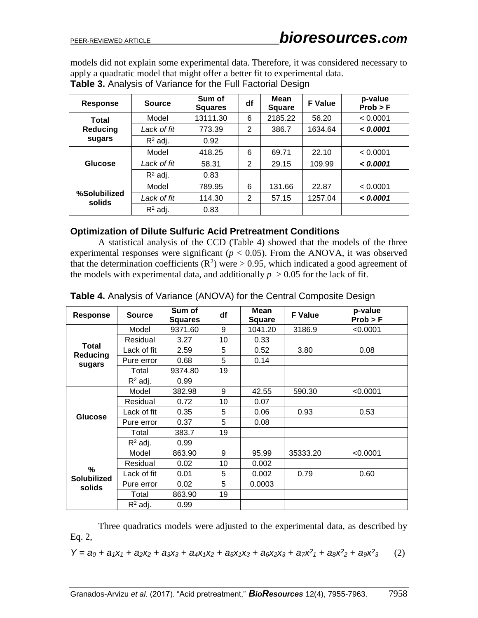models did not explain some experimental data. Therefore, it was considered necessary to apply a quadratic model that might offer a better fit to experimental data.

| Response               | <b>Source</b> | Sum of<br><b>Squares</b> | df | Mean<br><b>Square</b> | <b>F</b> Value | p-value<br>Prob > F |
|------------------------|---------------|--------------------------|----|-----------------------|----------------|---------------------|
| Total                  | Model         | 13111.30                 | 6  | 2185.22               | 56.20          | < 0.0001            |
| Reducing               | Lack of fit   | 773.39                   | 2  | 386.7                 | 1634.64        | < 0.0001            |
| sugars                 | $R^2$ adj.    | 0.92                     |    |                       |                |                     |
|                        | Model         | 418.25                   | 6  | 69.71                 | 22.10          | < 0.0001            |
| Glucose                | Lack of fit   | 58.31                    | 2  | 29.15                 | 109.99         | < 0.0001            |
|                        | $R^2$ adj.    | 0.83                     |    |                       |                |                     |
| %Solubilized<br>solids | Model         | 789.95                   | 6  | 131.66                | 22.87          | < 0.0001            |
|                        | Lack of fit   | 114.30                   | 2  | 57.15                 | 1257.04        | < 0.0001            |
|                        | $R^2$ adj.    | 0.83                     |    |                       |                |                     |

**Table 3.** Analysis of Variance for the Full Factorial Design

#### **Optimization of Dilute Sulfuric Acid Pretreatment Conditions**

A statistical analysis of the CCD (Table 4) showed that the models of the three experimental responses were significant  $(p < 0.05)$ . From the ANOVA, it was observed that the determination coefficients  $(R^2)$  were > 0.95, which indicated a good agreement of the models with experimental data, and additionally  $p > 0.05$  for the lack of fit.

| Response                          | <b>Source</b> | Sum of<br><b>Squares</b> | df | Mean<br><b>Square</b> | <b>F</b> Value | p-value<br>Prob > F |
|-----------------------------------|---------------|--------------------------|----|-----------------------|----------------|---------------------|
|                                   | Model         | 9371.60                  | 9  | 1041.20               | 3186.9         | < 0.0001            |
|                                   | Residual      | 3.27                     | 10 | 0.33                  |                |                     |
| Total<br>Reducing                 | Lack of fit   | 2.59                     | 5  | 0.52                  | 3.80           | 0.08                |
| sugars                            | Pure error    | 0.68                     | 5  | 0.14                  |                |                     |
|                                   | Total         | 9374.80                  | 19 |                       |                |                     |
|                                   | $R^2$ adj.    | 0.99                     |    |                       |                |                     |
|                                   | Model         | 382.98                   | 9  | 42.55                 | 590.30         | < 0.0001            |
| <b>Glucose</b>                    | Residual      | 0.72                     | 10 | 0.07                  |                |                     |
|                                   | Lack of fit   | 0.35                     | 5  | 0.06                  | 0.93           | 0.53                |
|                                   | Pure error    | 0.37                     | 5  | 0.08                  |                |                     |
|                                   | Total         | 383.7                    | 19 |                       |                |                     |
|                                   | $R^2$ adj.    | 0.99                     |    |                       |                |                     |
|                                   | Model         | 863.90                   | 9  | 95.99                 | 35333.20       | < 0.0001            |
|                                   | Residual      | 0.02                     | 10 | 0.002                 |                |                     |
| %<br><b>Solubilized</b><br>solids | Lack of fit   | 0.01                     | 5  | 0.002                 | 0.79           | 0.60                |
|                                   | Pure error    | 0.02                     | 5  | 0.0003                |                |                     |
|                                   | Total         | 863.90                   | 19 |                       |                |                     |
|                                   | $R^2$ adj.    | 0.99                     |    |                       |                |                     |

**Table 4.** Analysis of Variance (ANOVA) for the Central Composite Design

Three quadratics models were adjusted to the experimental data, as described by Eq. 2,

 $Y = a_0 + a_1X_1 + a_2X_2 + a_3X_3 + a_4X_1X_2 + a_5X_1X_3 + a_6X_2X_3 + a_7X^2 + a_8X^2 + a_9X^2$ *3* (2)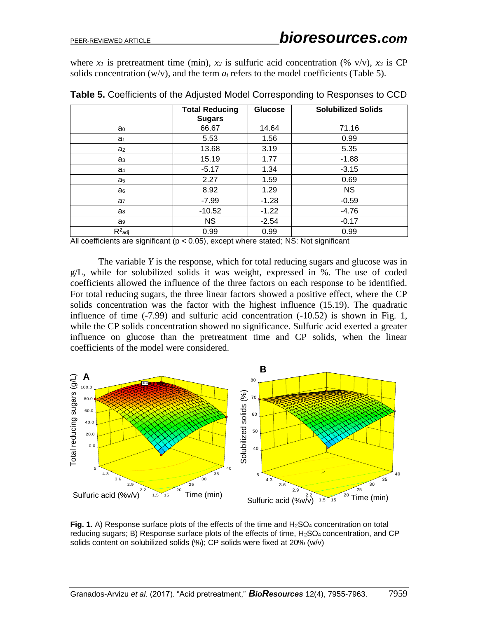where  $x_1$  is pretreatment time (min),  $x_2$  is sulfuric acid concentration (% v/v),  $x_3$  is CP solids concentration  $(w/v)$ , and the term  $a_i$  refers to the model coefficients (Table 5).

|                | <b>Total Reducing</b><br><b>Sugars</b> | <b>Glucose</b> | <b>Solubilized Solids</b> |
|----------------|----------------------------------------|----------------|---------------------------|
| a <sub>0</sub> | 66.67                                  | 14.64          | 71.16                     |
| a <sub>1</sub> | 5.53                                   | 1.56           | 0.99                      |
| a <sub>2</sub> | 13.68                                  | 3.19           | 5.35                      |
| a <sub>3</sub> | 15.19                                  | 1.77           | $-1.88$                   |
| a <sub>4</sub> | $-5.17$                                | 1.34           | $-3.15$                   |
| a <sub>5</sub> | 2.27                                   | 1.59           | 0.69                      |
| a <sub>6</sub> | 8.92                                   | 1.29           | <b>NS</b>                 |
| a <sub>7</sub> | $-7.99$                                | $-1.28$        | $-0.59$                   |
| a <sub>8</sub> | $-10.52$                               | $-1.22$        | $-4.76$                   |
| a <sub>9</sub> | <b>NS</b>                              | $-2.54$        | $-0.17$                   |
| $R^2$ adj      | 0.99                                   | 0.99           | 0.99                      |

**Table 5.** Coefficients of the Adjusted Model Corresponding to Responses to CCD

All coefficients are significant ( $p < 0.05$ ), except where stated; NS: Not significant

The variable *Y* is the response, which for total reducing sugars and glucose was in g/L, while for solubilized solids it was weight, expressed in %. The use of coded coefficients allowed the influence of the three factors on each response to be identified. For total reducing sugars, the three linear factors showed a positive effect, where the CP solids concentration was the factor with the highest influence (15.19). The quadratic influence of time (-7.99) and sulfuric acid concentration (-10.52) is shown in Fig. 1, while the CP solids concentration showed no significance. Sulfuric acid exerted a greater influence on glucose than the pretreatment time and CP solids, when the linear mituence on glucose than the pretreatr<br>coefficients of the model were considered.



Fig. 1. A) Response surface plots of the effects of the time and H<sub>2</sub>SO<sub>4</sub> concentration on total reducing sugars; B) Response surface plots of the effects of time, H<sub>2</sub>SO<sub>4</sub> concentration, and CP solids content on solubilized solids (%); CP solids were fixed at 20% (w/v)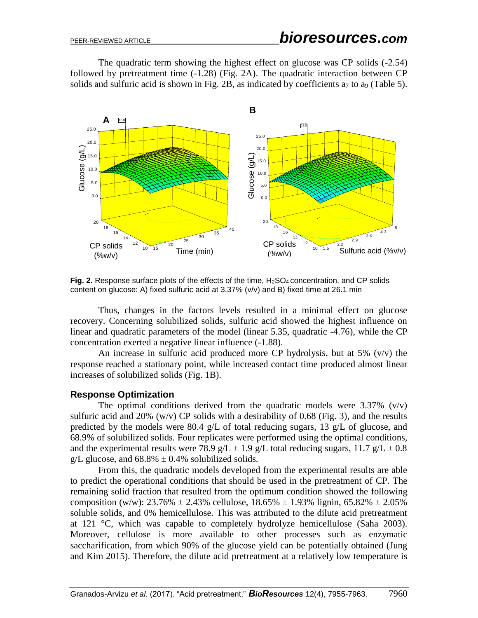The quadratic term showing the highest effect on glucose was CP solids (-2.54) followed by pretreatment time (-1.28) (Fig. 2A). The quadratic interaction between CP solids and sulfuric acid is shown in Fig. 2B, as indicated by coefficients  $a_7$  to  $a_9$  (Table 5).



**Fig. 2.** Response surface plots of the effects of the time, H<sub>2</sub>SO<sub>4</sub> concentration, and CP solids content on glucose: A) fixed sulfuric acid at 3.37% (v/v) and B) fixed time at 26.1 min

Thus, changes in the factors levels resulted in a minimal effect on glucose recovery. Concerning solubilized solids, sulfuric acid showed the highest influence on linear and quadratic parameters of the model (linear 5.35, quadratic -4.76), while the CP concentration exerted a negative linear influence (-1.88).

An increase in sulfuric acid produced more CP hydrolysis, but at  $5\%$  (v/v) the response reached a stationary point, while increased contact time produced almost linear increases of solubilized solids (Fig. 1B).

#### **Response Optimization**

The optimal conditions derived from the quadratic models were  $3.37\%$  (v/v) sulfuric acid and 20% (w/v) CP solids with a desirability of 0.68 (Fig. 3), and the results predicted by the models were 80.4 g/L of total reducing sugars, 13 g/L of glucose, and 68.9% of solubilized solids. Four replicates were performed using the optimal conditions, and the experimental results were 78.9 g/L  $\pm$  1.9 g/L total reducing sugars, 11.7 g/L  $\pm$  0.8 g/L glucose, and  $68.8\% \pm 0.4\%$  solubilized solids.

From this, the quadratic models developed from the experimental results are able to predict the operational conditions that should be used in the pretreatment of CP. The remaining solid fraction that resulted from the optimum condition showed the following composition (w/w):  $23.76\% \pm 2.43\%$  cellulose,  $18.65\% \pm 1.93\%$  lignin,  $65.82\% \pm 2.05\%$ soluble solids, and 0% hemicellulose. This was attributed to the dilute acid pretreatment at 121 °C, which was capable to completely hydrolyze hemicellulose (Saha 2003). Moreover, cellulose is more available to other processes such as enzymatic saccharification, from which 90% of the glucose yield can be potentially obtained (Jung and Kim 2015). Therefore, the dilute acid pretreatment at a relatively low temperature is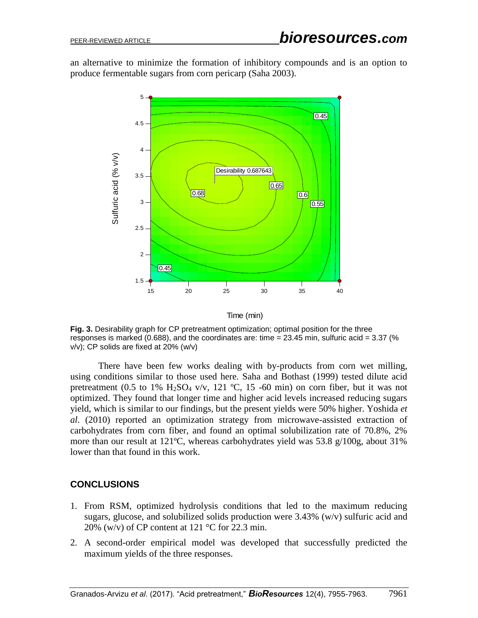an alternative to minimize the formation of inhibitory compounds and is an option to produce fermentable sugars from corn pericarp (Saha 2003).



Time (min)

**Fig. 3.** Desirability graph for CP pretreatment optimization; optimal position for the three responses is marked (0.688), and the coordinates are: time = 23.45 min, sulfuric acid = 3.37 (% v/v); CP solids are fixed at 20% (w/v)

There have been few works dealing with by-products from corn wet milling, using conditions similar to those used here. Saha and Bothast (1999) tested dilute acid pretreatment (0.5 to 1% H<sub>2</sub>SO<sub>4</sub> v/v, 121 °C, 15 -60 min) on corn fiber, but it was not optimized. They found that longer time and higher acid levels increased reducing sugars yield, which is similar to our findings, but the present yields were 50% higher. Yoshida *et al*. (2010) reported an optimization strategy from microwave-assisted extraction of carbohydrates from corn fiber, and found an optimal solubilization rate of 70.8%, 2% more than our result at 121ºC, whereas carbohydrates yield was 53.8 g/100g, about 31% lower than that found in this work.

#### **CONCLUSIONS**

- 1. From RSM, optimized hydrolysis conditions that led to the maximum reducing sugars, glucose, and solubilized solids production were 3.43% (w/v) sulfuric acid and 20% (w/v) of CP content at 121  $\degree$ C for 22.3 min.
- 2. A second-order empirical model was developed that successfully predicted the maximum yields of the three responses.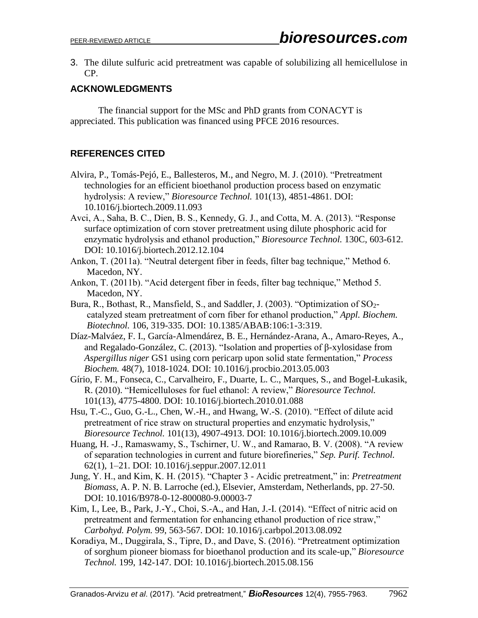3. The dilute sulfuric acid pretreatment was capable of solubilizing all hemicellulose in CP.

### **ACKNOWLEDGMENTS**

The financial support for the MSc and PhD grants from CONACYT is appreciated. This publication was financed using PFCE 2016 resources.

## **REFERENCES CITED**

- Alvira, P., Tomás-Pejó, E., Ballesteros, M., and Negro, M. J. (2010). "Pretreatment technologies for an efficient bioethanol production process based on enzymatic hydrolysis: A review," *Bioresource Technol.* 101(13), 4851-4861. DOI: [10.1016/j.biortech.2009.11.093](http://doi.org/10.1016/j.biortech.2009.11.093)
- Avci, A., Saha, B. C., Dien, B. S., Kennedy, G. J., and Cotta, M. A. (2013). "Response surface optimization of corn stover pretreatment using dilute phosphoric acid for enzymatic hydrolysis and ethanol production," *Bioresource Technol.* 130C, 603-612. DOI: [10.1016/j.biortech.2012.12.104](http://doi.org/10.1016/j.biortech.2012.12.104)
- Ankon, T. (2011a). "Neutral detergent fiber in feeds, filter bag technique," Method 6. Macedon, NY.
- Ankon, T. (2011b). "Acid detergent fiber in feeds, filter bag technique," Method 5. Macedon, NY.
- Bura, R., Bothast, R., Mansfield, S., and Saddler, J. (2003). "Optimization of SO2 catalyzed steam pretreatment of corn fiber for ethanol production," *Appl. Biochem. Biotechnol.* 106, 319-335. DOI: 10.1385/ABAB:106:1-3:319.
- Díaz-Malváez, F. I., García-Almendárez, B. E., Hernández-Arana, A., Amaro-Reyes, A., and Regalado-González, C. (2013). "Isolation and properties of β-xylosidase from *Aspergillus niger* GS1 using corn pericarp upon solid state fermentation," *Process Biochem.* 48(7), 1018-1024. DOI: [10.1016/j.procbio.2013.05.003](http://doi.org/10.1016/j.procbio.2013.05.003)
- Gírio, F. M., Fonseca, C., Carvalheiro, F., Duarte, L. C., Marques, S., and Bogel-Łukasik, R. (2010). "Hemicelluloses for fuel ethanol: A review," *Bioresource Technol.* 101(13), 4775-4800. DOI: [10.1016/j.biortech.2010.01.088](http://doi.org/10.1016/j.biortech.2010.01.088)
- Hsu, T.-C., Guo, G.-L., Chen, W.-H., and Hwang, W.-S. (2010). "Effect of dilute acid pretreatment of rice straw on structural properties and enzymatic hydrolysis," *Bioresource Technol.* 101(13), 4907-4913. DOI: [10.1016/j.biortech.2009.10.009](http://doi.org/10.1016/j.biortech.2009.10.009)
- Huang, H. -J., Ramaswamy, S., Tschirner, U. W., and Ramarao, B. V. (2008). "A review of separation technologies in current and future biorefineries," *Sep. Purif. Technol.* 62(1), 1–21. DOI: [10.1016/j.seppur.2007.12.011](http://doi.org/10.1016/j.seppur.2007.12.011)
- Jung, Y. H., and Kim, K. H. (2015). "Chapter 3 Acidic pretreatment," in: *Pretreatment Biomass*, A. P. N. B. Larroche (ed.), Elsevier, Amsterdam, Netherlands, pp. 27-50. DOI: [10.1016/B978-0-12-800080-9.00003-7](http://doi.org/10.1016/B978-0-12-800080-9.00003-7)
- Kim, I., Lee, B., Park, J.-Y., Choi, S.-A., and Han, J.-I. (2014). "Effect of nitric acid on pretreatment and fermentation for enhancing ethanol production of rice straw," *Carbohyd. Polym.* 99, 563-567. DOI: [10.1016/j.carbpol.2013.08.092](http://doi.org/10.1016/j.carbpol.2013.08.092)
- Koradiya, M., Duggirala, S., Tipre, D., and Dave, S. (2016). "Pretreatment optimization of sorghum pioneer biomass for bioethanol production and its scale-up," *Bioresource Technol.* 199, 142-147. DOI: 10.1016/j.biortech.2015.08.156